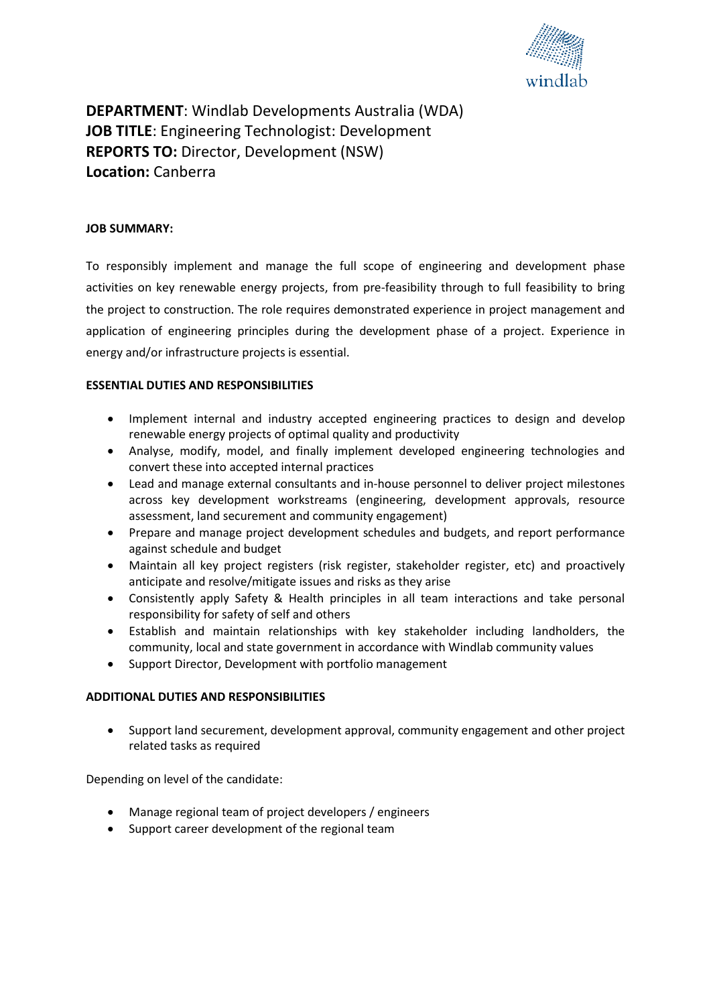

# **DEPARTMENT**: Windlab Developments Australia (WDA) **JOB TITLE**: Engineering Technologist: Development **REPORTS TO:** Director, Development (NSW) **Location:** Canberra

#### **JOB SUMMARY:**

To responsibly implement and manage the full scope of engineering and development phase activities on key renewable energy projects, from pre-feasibility through to full feasibility to bring the project to construction. The role requires demonstrated experience in project management and application of engineering principles during the development phase of a project. Experience in energy and/or infrastructure projects is essential.

#### **ESSENTIAL DUTIES AND RESPONSIBILITIES**

- Implement internal and industry accepted engineering practices to design and develop renewable energy projects of optimal quality and productivity
- Analyse, modify, model, and finally implement developed engineering technologies and convert these into accepted internal practices
- Lead and manage external consultants and in-house personnel to deliver project milestones across key development workstreams (engineering, development approvals, resource assessment, land securement and community engagement)
- Prepare and manage project development schedules and budgets, and report performance against schedule and budget
- Maintain all key project registers (risk register, stakeholder register, etc) and proactively anticipate and resolve/mitigate issues and risks as they arise
- Consistently apply Safety & Health principles in all team interactions and take personal responsibility for safety of self and others
- Establish and maintain relationships with key stakeholder including landholders, the community, local and state government in accordance with Windlab community values
- Support Director, Development with portfolio management

#### **ADDITIONAL DUTIES AND RESPONSIBILITIES**

• Support land securement, development approval, community engagement and other project related tasks as required

Depending on level of the candidate:

- Manage regional team of project developers / engineers
- Support career development of the regional team